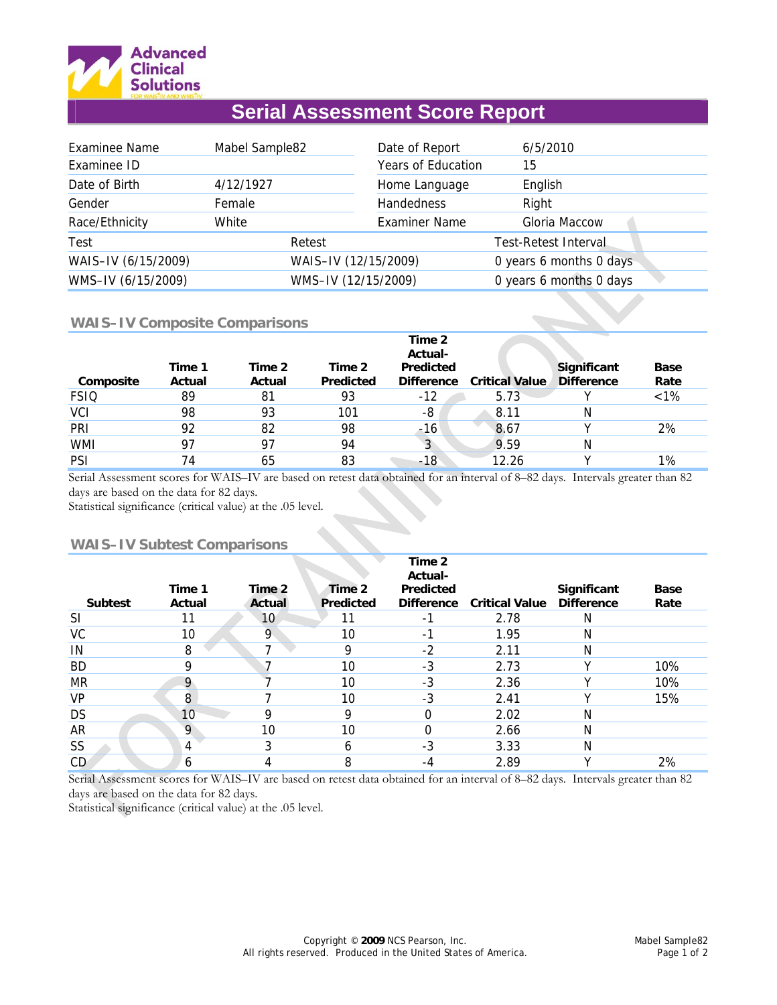

# **Serial Assessment Score Report**

| <b>Examinee Name</b> | Mabel Sample82 |                      | Date of Report       | 6/5/2010                |  |
|----------------------|----------------|----------------------|----------------------|-------------------------|--|
| Examinee ID          |                |                      | Years of Education   | 15                      |  |
| Date of Birth        | 4/12/1927      |                      | Home Language        | English                 |  |
| Gender               | Female         |                      | Handedness           | Right                   |  |
| Race/Ethnicity       | White          |                      | <b>Examiner Name</b> | Gloria Maccow           |  |
| Test                 |                | Retest               |                      | Test-Retest Interval    |  |
| WAIS-IV (6/15/2009)  |                | WAIS-IV (12/15/2009) |                      | 0 years 6 months 0 days |  |
| WMS-IV (6/15/2009)   |                | WMS-IV (12/15/2009)  |                      | 0 years 6 months 0 days |  |

## **WAIS–IV Composite Comparisons**

|             |                  |                  |                            | Time 2<br>Actual-              |                       |                                  |                     |
|-------------|------------------|------------------|----------------------------|--------------------------------|-----------------------|----------------------------------|---------------------|
| Composite   | Time 1<br>Actual | Time 2<br>Actual | Time 2<br><b>Predicted</b> | Predicted<br><b>Difference</b> | <b>Critical Value</b> | Significant<br><b>Difference</b> | <b>Base</b><br>Rate |
| <b>FSIQ</b> | 89               | 81               | 93                         | -12                            | 5.73                  |                                  | $< 1\%$             |
| <b>VCI</b>  | 98               | 93               | 101                        | -8                             | 8.11                  | N                                |                     |
| PRI         | 92               | 82               | 98                         | -16                            | 8.67                  |                                  | 2%                  |
| <b>WMI</b>  | 97               | 97               | 94                         | 3                              | 9.59                  | Ν                                |                     |
| <b>PSI</b>  | 74               | 65               | 83                         | -18                            | 12.26                 |                                  | 1%                  |

Serial Assessment scores for WAIS–IV are based on retest data obtained for an interval of 8–82 days. Intervals greater than 82 days are based on the data for 82 days.

Statistical significance (critical value) at the .05 level.

# **WAIS–IV Subtest Comparisons**

|                |                  |                  |                            | Time 2<br>Actual-                     |                       |                                  |                     |
|----------------|------------------|------------------|----------------------------|---------------------------------------|-----------------------|----------------------------------|---------------------|
| <b>Subtest</b> | Time 1<br>Actual | Time 2<br>Actual | Time 2<br><b>Predicted</b> | <b>Predicted</b><br><b>Difference</b> | <b>Critical Value</b> | Significant<br><b>Difference</b> | <b>Base</b><br>Rate |
| <b>SI</b>      |                  | 10               | 11                         | -1                                    | 2.78                  | N                                |                     |
| VC             | 10               | 9                | 10                         | $\overline{a}$                        | 1.95                  | N                                |                     |
| IN             | 8                |                  | 9                          | $-2$                                  | 2.11                  | N                                |                     |
| <b>BD</b>      | 9                |                  | 10                         | $-3$                                  | 2.73                  | v                                | 10%                 |
| <b>MR</b>      | 9                |                  | 10                         | $-3$                                  | 2.36                  | v                                | 10%                 |
| <b>VP</b>      | 8                |                  | 10                         | $-3$                                  | 2.41                  |                                  | 15%                 |
| <b>DS</b>      | 10               | Ω                | 9                          | 0                                     | 2.02                  | N                                |                     |
| <b>AR</b>      | 9                | 10               | 10                         | 0                                     | 2.66                  | N                                |                     |
| SS             | 4                |                  | 6                          | $-3$                                  | 3.33                  | N                                |                     |
| CD.            | 6                |                  | 8                          | -4                                    | 2.89                  | v                                | 2%                  |

Serial Assessment scores for WAIS–IV are based on retest data obtained for an interval of 8–82 days. Intervals greater than 82 days are based on the data for 82 days.

Statistical significance (critical value) at the .05 level.